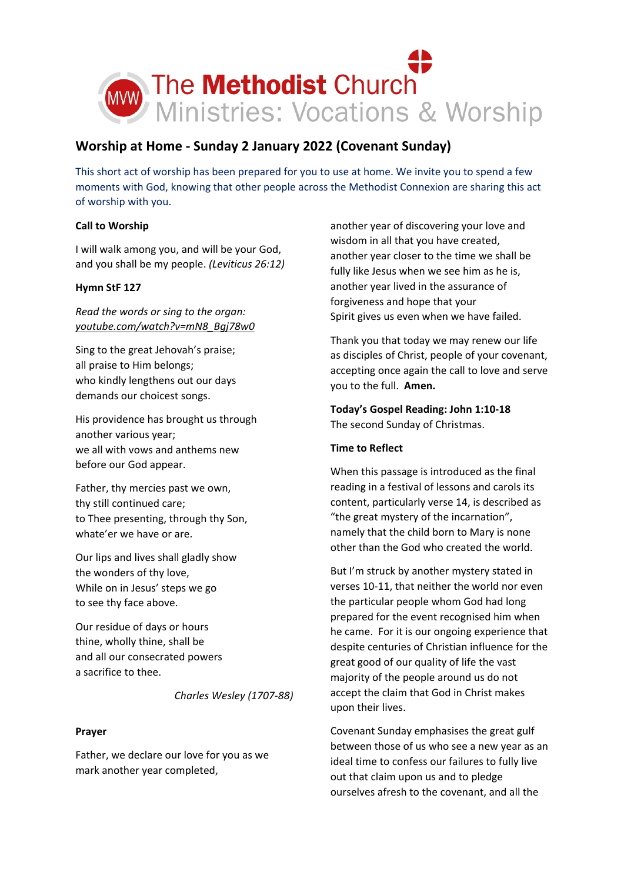

# **Worship at Home - Sunday 2 January 2022 (Covenant Sunday)**

This short act of worship has been prepared for you to use at home. We invite you to spend a few moments with God, knowing that other people across the Methodist Connexion are sharing this act of worship with you.

# **Call to Worship**

I will walk among you, and will be your God, and you shall be my people. *(Leviticus 26:12)*

# **Hymn StF 127**

*Read the words or sing to the organ: [youtube.com/watch?v=mN8\\_Bgj78w0](https://www.youtube.com/watch?v=mN8_Bgj78w0)*

Sing to the great Jehovah's praise; all praise to Him belongs; who kindly lengthens out our days demands our choicest songs.

His providence has brought us through another various year; we all with vows and anthems new before our God appear.

Father, thy mercies past we own, thy still continued care; to Thee presenting, through thy Son, whate'er we have or are.

Our lips and lives shall gladly show the wonders of thy love, While on in Jesus' steps we go to see thy face above.

Our residue of days or hours thine, wholly thine, shall be and all our consecrated powers a sacrifice to thee.

*Charles Wesley (1707-88)*

## **Prayer**

Father, we declare our love for you as we mark another year completed,

another year of discovering your love and wisdom in all that you have created, another year closer to the time we shall be fully like Jesus when we see him as he is, another year lived in the assurance of forgiveness and hope that your Spirit gives us even when we have failed.

Thank you that today we may renew our life as disciples of Christ, people of your covenant, accepting once again the call to love and serve you to the full. **Amen.**

**Today's Gospel Reading: John 1:10-18** The second Sunday of Christmas.

## **Time to Reflect**

When this passage is introduced as the final reading in a festival of lessons and carols its content, particularly verse 14, is described as "the great mystery of the incarnation", namely that the child born to Mary is none other than the God who created the world.

But I'm struck by another mystery stated in verses 10-11, that neither the world nor even the particular people whom God had long prepared for the event recognised him when he came. For it is our ongoing experience that despite centuries of Christian influence for the great good of our quality of life the vast majority of the people around us do not accept the claim that God in Christ makes upon their lives.

Covenant Sunday emphasises the great gulf between those of us who see a new year as an ideal time to confess our failures to fully live out that claim upon us and to pledge ourselves afresh to the covenant, and all the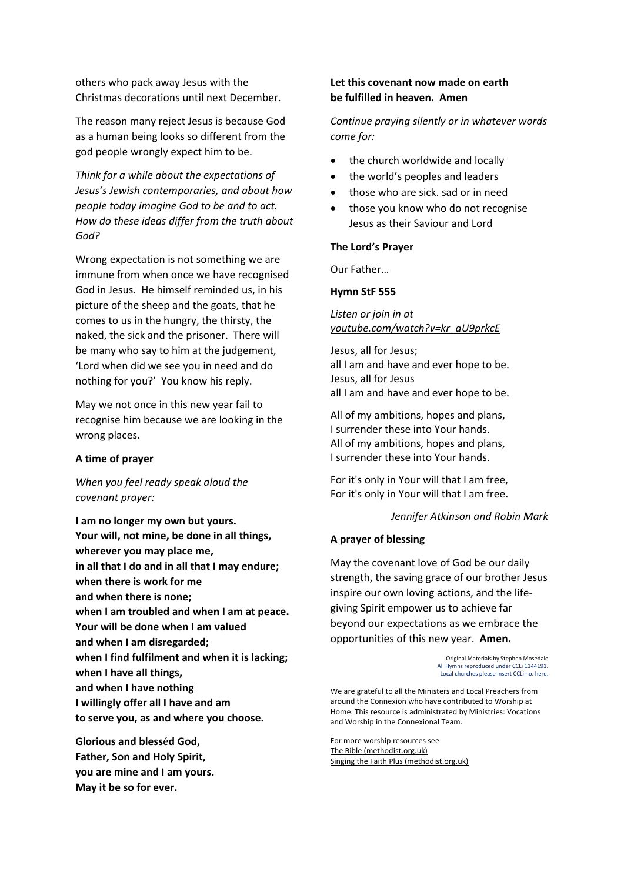others who pack away Jesus with the Christmas decorations until next December.

The reason many reject Jesus is because God as a human being looks so different from the god people wrongly expect him to be.

*Think for a while about the expectations of Jesus's Jewish contemporaries, and about how people today imagine God to be and to act. How do these ideas differ from the truth about God?*

Wrong expectation is not something we are immune from when once we have recognised God in Jesus. He himself reminded us, in his picture of the sheep and the goats, that he comes to us in the hungry, the thirsty, the naked, the sick and the prisoner. There will be many who say to him at the judgement, 'Lord when did we see you in need and do nothing for you?' You know his reply.

May we not once in this new year fail to recognise him because we are looking in the wrong places.

#### **A time of prayer**

*When you feel ready speak aloud the covenant prayer:*

**I am no longer my own but yours. Your will, not mine, be done in all things, wherever you may place me, in all that I do and in all that I may endure; when there is work for me and when there is none; when I am troubled and when I am at peace. Your will be done when I am valued and when I am disregarded; when I find fulfilment and when it is lacking; when I have all things, and when I have nothing I willingly offer all I have and am to serve you, as and where you choose.**

**Glorious and bless**é**d God, Father, Son and Holy Spirit, you are mine and I am yours. May it be so for ever.**

## **Let this covenant now made on earth be fulfilled in heaven. Amen**

*Continue praying silently or in whatever words come for:*

- the church worldwide and locally
- the world's peoples and leaders
- those who are sick. sad or in need
- those you know who do not recognise Jesus as their Saviour and Lord

#### **The Lord's Prayer**

Our Father…

#### **Hymn StF 555**

*Listen or join in at [youtube.com/watch?v=kr\\_aU9prkcE](https://www.youtube.com/watch?v=kr_aU9prkcE)*

Jesus, all for Jesus; all I am and have and ever hope to be. Jesus, all for Jesus all I am and have and ever hope to be.

All of my ambitions, hopes and plans, I surrender these into Your hands. All of my ambitions, hopes and plans, I surrender these into Your hands.

For it's only in Your will that I am free, For it's only in Your will that I am free.

*Jennifer Atkinson and Robin Mark*

## **A prayer of blessing**

May the covenant love of God be our daily strength, the saving grace of our brother Jesus inspire our own loving actions, and the lifegiving Spirit empower us to achieve far beyond our expectations as we embrace the opportunities of this new year. **Amen.**

> Original Materials by Stephen Mosedale All Hymns reproduced under CCLi 1144191. Local churches please insert CCLi no. here.

We are grateful to all the Ministers and Local Preachers from around the Connexion who have contributed to Worship at Home. This resource is administrated by Ministries: Vocations and Worship in the Connexional Team.

For more worship resources see [The Bible \(methodist.org.uk\)](https://www.methodist.org.uk/our-faith/the-bible/) [Singing the Faith Plus \(methodist.org.uk\)](https://www.methodist.org.uk/our-faith/worship/singing-the-faith-plus/)